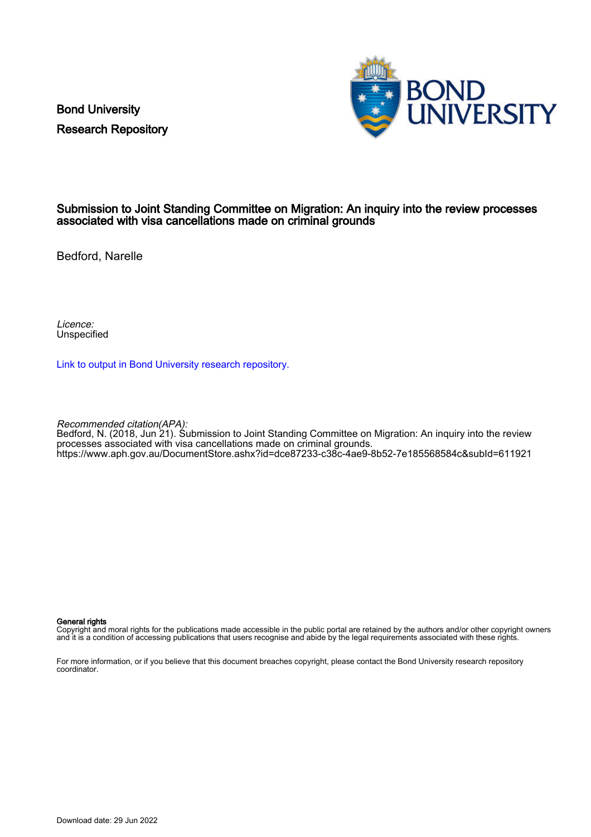Bond University Research Repository



#### Submission to Joint Standing Committee on Migration: An inquiry into the review processes associated with visa cancellations made on criminal grounds

Bedford, Narelle

Licence: Unspecified

[Link to output in Bond University research repository.](https://research.bond.edu.au/en/publications/73931c92-aaeb-45ea-99d6-01fa14c27fba)

Recommended citation(APA):

Bedford, N. (2018, Jun 21). Submission to Joint Standing Committee on Migration: An inquiry into the review processes associated with visa cancellations made on criminal grounds. <https://www.aph.gov.au/DocumentStore.ashx?id=dce87233-c38c-4ae9-8b52-7e185568584c&subId=611921>

#### General rights

Copyright and moral rights for the publications made accessible in the public portal are retained by the authors and/or other copyright owners and it is a condition of accessing publications that users recognise and abide by the legal requirements associated with these rights.

For more information, or if you believe that this document breaches copyright, please contact the Bond University research repository coordinator.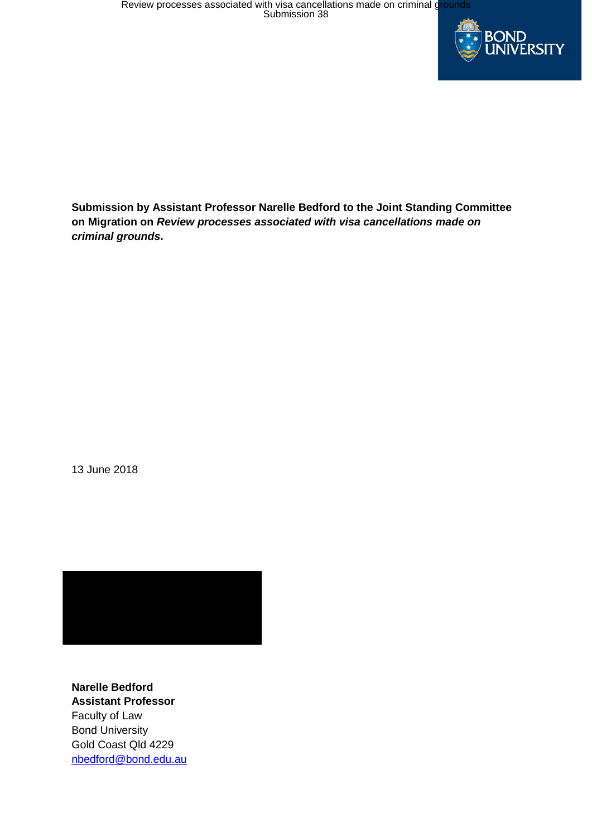

**Submission by Assistant Professor Narelle Bedford to the Joint Standing Committee on Migration on** *Review processes associated with visa cancellations made on criminal grounds***.** 

13 June 2018



**Narelle Bedford Assistant Professor** Faculty of Law Bond University Gold Coast Qld 4229 nbedford@bond.edu.au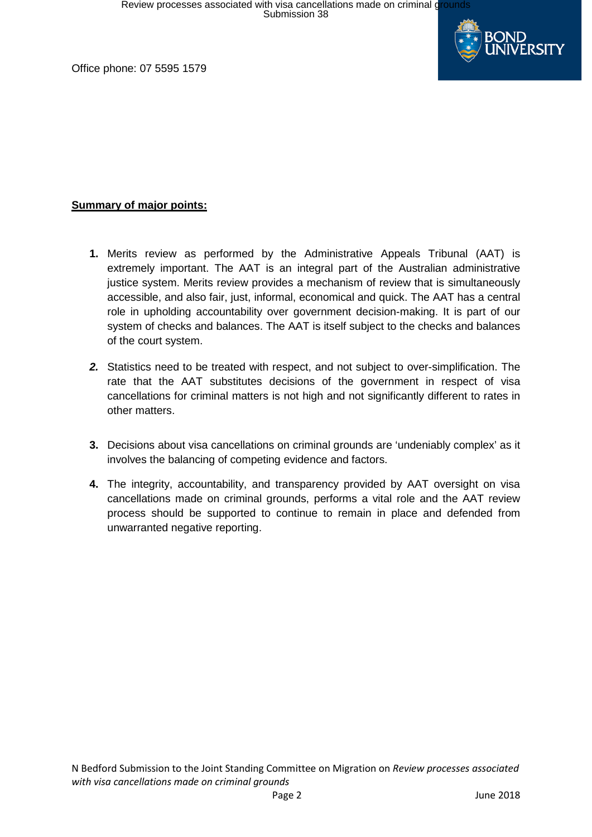

Office phone: 07 5595 1579

## **Summary of major points:**

- **1.** Merits review as performed by the Administrative Appeals Tribunal (AAT) is extremely important. The AAT is an integral part of the Australian administrative justice system. Merits review provides a mechanism of review that is simultaneously accessible, and also fair, just, informal, economical and quick. The AAT has a central role in upholding accountability over government decision-making. It is part of our system of checks and balances. The AAT is itself subject to the checks and balances of the court system.
- *2.* Statistics need to be treated with respect, and not subject to over-simplification. The rate that the AAT substitutes decisions of the government in respect of visa cancellations for criminal matters is not high and not significantly different to rates in other matters.
- **3.** Decisions about visa cancellations on criminal grounds are 'undeniably complex' as it involves the balancing of competing evidence and factors.
- **4.** The integrity, accountability, and transparency provided by AAT oversight on visa cancellations made on criminal grounds, performs a vital role and the AAT review process should be supported to continue to remain in place and defended from unwarranted negative reporting.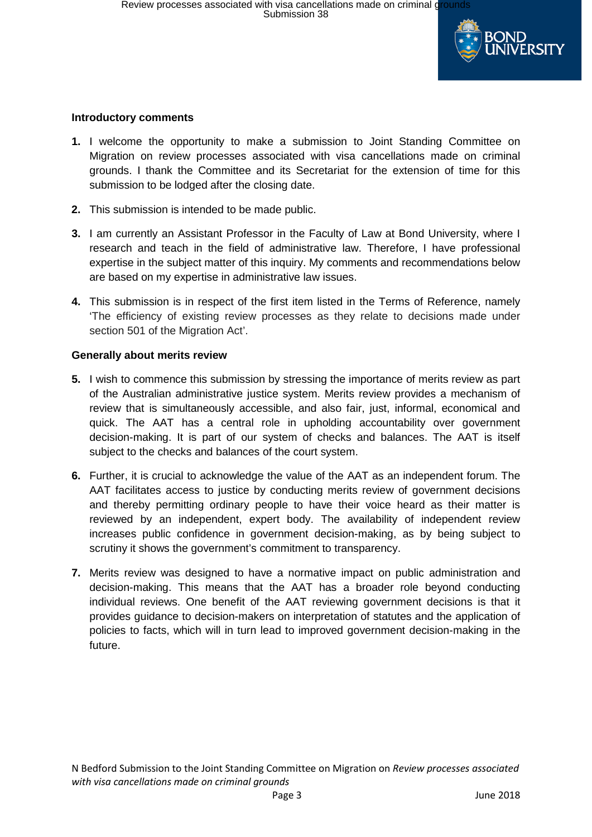

## **Introductory comments**

- **1.** I welcome the opportunity to make a submission to Joint Standing Committee on Migration on review processes associated with visa cancellations made on criminal grounds. I thank the Committee and its Secretariat for the extension of time for this submission to be lodged after the closing date.
- **2.** This submission is intended to be made public.
- **3.** I am currently an Assistant Professor in the Faculty of Law at Bond University, where I research and teach in the field of administrative law. Therefore, I have professional expertise in the subject matter of this inquiry. My comments and recommendations below are based on my expertise in administrative law issues.
- **4.** This submission is in respect of the first item listed in the Terms of Reference, namely 'The efficiency of existing review processes as they relate to decisions made under section 501 of the Migration Act'.

#### **Generally about merits review**

- **5.** I wish to commence this submission by stressing the importance of merits review as part of the Australian administrative justice system. Merits review provides a mechanism of review that is simultaneously accessible, and also fair, just, informal, economical and quick. The AAT has a central role in upholding accountability over government decision-making. It is part of our system of checks and balances. The AAT is itself subject to the checks and balances of the court system.
- **6.** Further, it is crucial to acknowledge the value of the AAT as an independent forum. The AAT facilitates access to justice by conducting merits review of government decisions and thereby permitting ordinary people to have their voice heard as their matter is reviewed by an independent, expert body. The availability of independent review increases public confidence in government decision-making, as by being subject to scrutiny it shows the government's commitment to transparency.
- **7.** Merits review was designed to have a normative impact on public administration and decision-making. This means that the AAT has a broader role beyond conducting individual reviews. One benefit of the AAT reviewing government decisions is that it provides guidance to decision-makers on interpretation of statutes and the application of policies to facts, which will in turn lead to improved government decision-making in the future.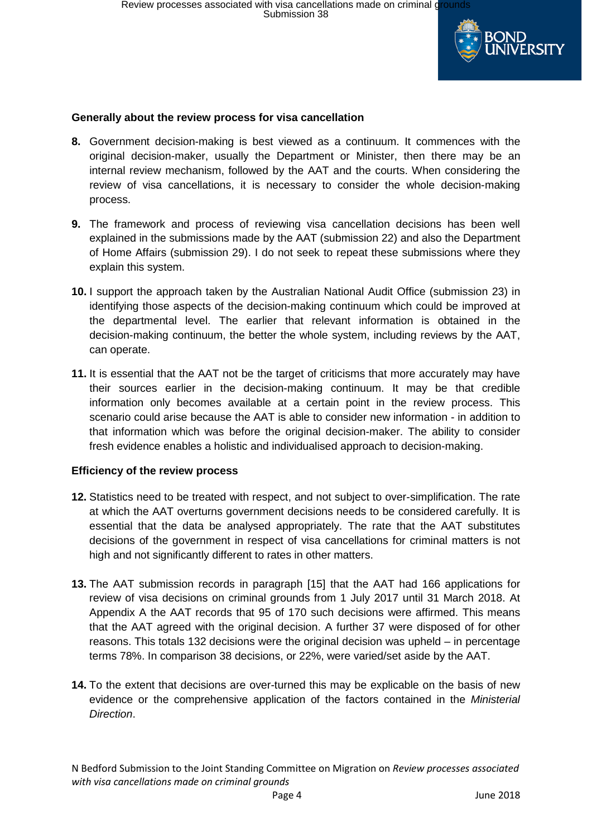

## **Generally about the review process for visa cancellation**

- **8.** Government decision-making is best viewed as a continuum. It commences with the original decision-maker, usually the Department or Minister, then there may be an internal review mechanism, followed by the AAT and the courts. When considering the review of visa cancellations, it is necessary to consider the whole decision-making process.
- **9.** The framework and process of reviewing visa cancellation decisions has been well explained in the submissions made by the AAT (submission 22) and also the Department of Home Affairs (submission 29). I do not seek to repeat these submissions where they explain this system.
- **10.** I support the approach taken by the Australian National Audit Office (submission 23) in identifying those aspects of the decision-making continuum which could be improved at the departmental level. The earlier that relevant information is obtained in the decision-making continuum, the better the whole system, including reviews by the AAT, can operate.
- **11.** It is essential that the AAT not be the target of criticisms that more accurately may have their sources earlier in the decision-making continuum. It may be that credible information only becomes available at a certain point in the review process. This scenario could arise because the AAT is able to consider new information - in addition to that information which was before the original decision-maker. The ability to consider fresh evidence enables a holistic and individualised approach to decision-making.

#### **Efficiency of the review process**

- **12.** Statistics need to be treated with respect, and not subject to over-simplification. The rate at which the AAT overturns government decisions needs to be considered carefully. It is essential that the data be analysed appropriately. The rate that the AAT substitutes decisions of the government in respect of visa cancellations for criminal matters is not high and not significantly different to rates in other matters.
- **13.** The AAT submission records in paragraph [15] that the AAT had 166 applications for review of visa decisions on criminal grounds from 1 July 2017 until 31 March 2018. At Appendix A the AAT records that 95 of 170 such decisions were affirmed. This means that the AAT agreed with the original decision. A further 37 were disposed of for other reasons. This totals 132 decisions were the original decision was upheld – in percentage terms 78%. In comparison 38 decisions, or 22%, were varied/set aside by the AAT.
- **14.** To the extent that decisions are over-turned this may be explicable on the basis of new evidence or the comprehensive application of the factors contained in the *Ministerial Direction*.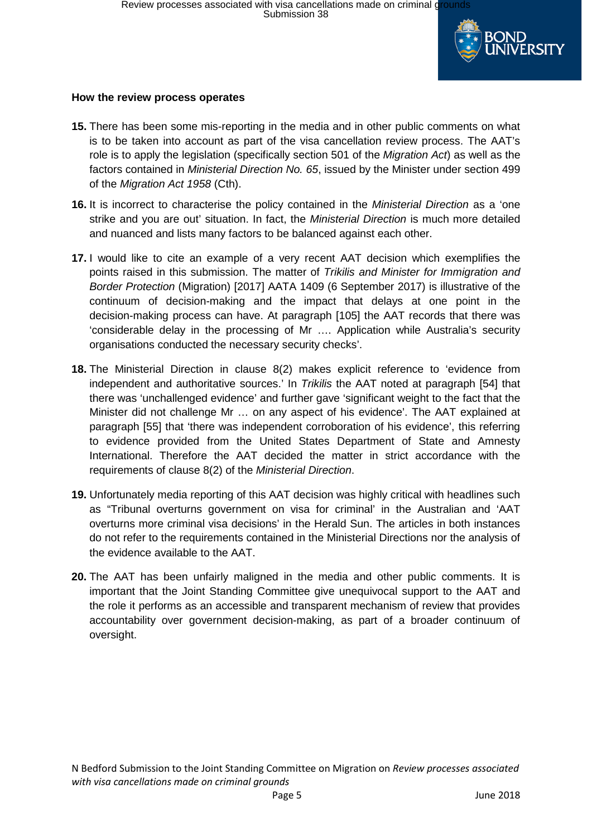

## **How the review process operates**

- **15.** There has been some mis-reporting in the media and in other public comments on what is to be taken into account as part of the visa cancellation review process. The AAT's role is to apply the legislation (specifically section 501 of the *Migration Act*) as well as the factors contained in *Ministerial Direction No. 65*, issued by the Minister under section 499 of the *Migration Act 1958* (Cth).
- **16.** It is incorrect to characterise the policy contained in the *Ministerial Direction* as a 'one strike and you are out' situation. In fact, the *Ministerial Direction* is much more detailed and nuanced and lists many factors to be balanced against each other.
- **17.** I would like to cite an example of a very recent AAT decision which exemplifies the points raised in this submission. The matter of *Trikilis and Minister for Immigration and Border Protection* (Migration) [2017] AATA 1409 (6 September 2017) is illustrative of the continuum of decision-making and the impact that delays at one point in the decision-making process can have. At paragraph [105] the AAT records that there was 'considerable delay in the processing of Mr …. Application while Australia's security organisations conducted the necessary security checks'.
- **18.** The Ministerial Direction in clause 8(2) makes explicit reference to 'evidence from independent and authoritative sources.' In *Trikilis* the AAT noted at paragraph [54] that there was 'unchallenged evidence' and further gave 'significant weight to the fact that the Minister did not challenge Mr … on any aspect of his evidence'. The AAT explained at paragraph [55] that 'there was independent corroboration of his evidence', this referring to evidence provided from the United States Department of State and Amnesty International. Therefore the AAT decided the matter in strict accordance with the requirements of clause 8(2) of the *Ministerial Direction*.
- **19.** Unfortunately media reporting of this AAT decision was highly critical with headlines such as "Tribunal overturns government on visa for criminal' in the Australian and 'AAT overturns more criminal visa decisions' in the Herald Sun. The articles in both instances do not refer to the requirements contained in the Ministerial Directions nor the analysis of the evidence available to the AAT.
- **20.** The AAT has been unfairly maligned in the media and other public comments. It is important that the Joint Standing Committee give unequivocal support to the AAT and the role it performs as an accessible and transparent mechanism of review that provides accountability over government decision-making, as part of a broader continuum of oversight.